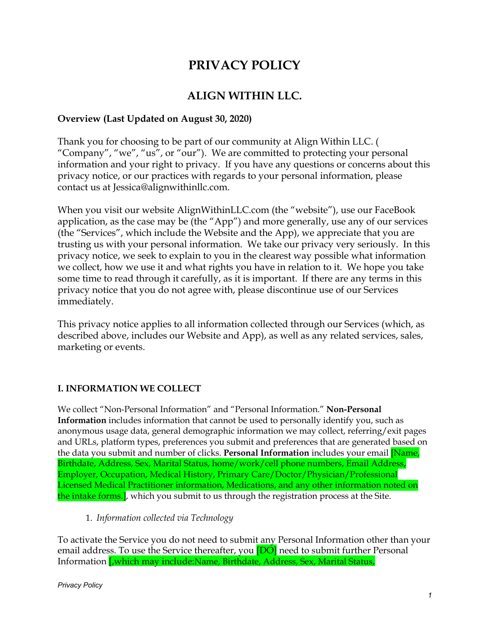# **PRIVACY POLICY**

# **ALIGN WITHIN LLC.**

### **Overview (Last Updated on August 30, 2020)**

Thank you for choosing to be part of our community at Align Within LLC. ( "Company", "we", "us", or "our"). We are committed to protecting your personal information and your right to privacy. If you have any questions or concerns about this privacy notice, or our practices with regards to your personal information, please contact us at Jessica@alignwithinllc.com.

When you visit our website AlignWithinLLC.com (the "website"), use our FaceBook application, as the case may be (the "App") and more generally, use any of our services (the "Services", which include the Website and the App), we appreciate that you are trusting us with your personal information. We take our privacy very seriously. In this privacy notice, we seek to explain to you in the clearest way possible what information we collect, how we use it and what rights you have in relation to it. We hope you take some time to read through it carefully, as it is important. If there are any terms in this privacy notice that you do not agree with, please discontinue use of our Services immediately.

This privacy notice applies to all information collected through our Services (which, as described above, includes our Website and App), as well as any related services, sales, marketing or events.

# **I. INFORMATION WE COLLECT**

We collect "Non-Personal Information" and "Personal Information." **Non-Personal Information** includes information that cannot be used to personally identify you, such as anonymous usage data, general demographic information we may collect, referring/exit pages and URLs, platform types, preferences you submit and preferences that are generated based on the data you submit and number of clicks. **Personal Information** includes your email [Name, Birthdate, Address, Sex, Marital Status, home/work/cell phone numbers, Email Address, Employer, Occupation, Medical History, Primary Care/Doctor/Physician/Professional Licensed Medical Practitioner information, Medications, and any other information noted on the intake forms.], which you submit to us through the registration process at the Site.

1. *Information collected via Technology*

To activate the Service you do not need to submit any Personal Information other than your email address. To use the Service thereafter, you **[DO]** need to submit further Personal Information [,which may include:Name, Birthdate, Address, Sex, Marital Status,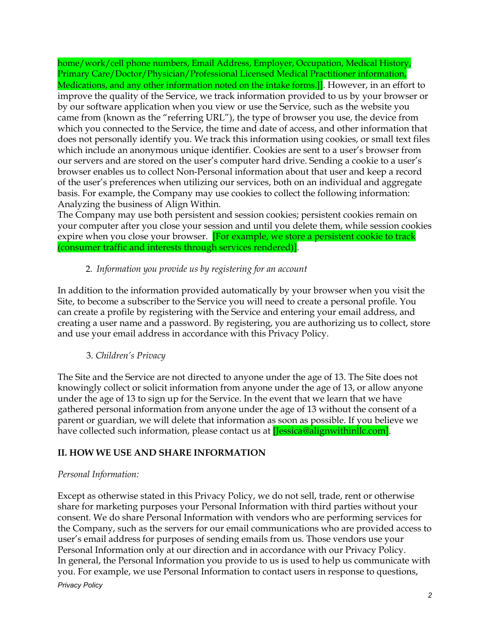home/work/cell phone numbers, Email Address, Employer, Occupation, Medical History, Primary Care/Doctor/Physician/Professional Licensed Medical Practitioner information, Medications, and any other information noted on the intake forms.]. However, in an effort to improve the quality of the Service, we track information provided to us by your browser or by our software application when you view or use the Service, such as the website you came from (known as the "referring URL"), the type of browser you use, the device from which you connected to the Service, the time and date of access, and other information that does not personally identify you. We track this information using cookies, or small text files which include an anonymous unique identifier. Cookies are sent to a user's browser from our servers and are stored on the user's computer hard drive. Sending a cookie to a user's browser enables us to collect Non-Personal information about that user and keep a record of the user's preferences when utilizing our services, both on an individual and aggregate basis. For example, the Company may use cookies to collect the following information: Analyzing the business of Align Within.

The Company may use both persistent and session cookies; persistent cookies remain on your computer after you close your session and until you delete them, while session cookies expire when you close your browser. [For example, we store a persistent cookie to track (consumer traffic and interests through services rendered)].

#### 2. *Information you provide us by registering for an account*

In addition to the information provided automatically by your browser when you visit the Site, to become a subscriber to the Service you will need to create a personal profile. You can create a profile by registering with the Service and entering your email address, and creating a user name and a password. By registering, you are authorizing us to collect, store and use your email address in accordance with this Privacy Policy.

#### 3. *Children's Privacy*

The Site and the Service are not directed to anyone under the age of 13. The Site does not knowingly collect or solicit information from anyone under the age of 13, or allow anyone under the age of 13 to sign up for the Service. In the event that we learn that we have gathered personal information from anyone under the age of 13 without the consent of a parent or guardian, we will delete that information as soon as possible. If you believe we have collected such information, please contact us at **[Jessica@alignwithinllc.com]**.

#### **II. HOW WE USE AND SHARE INFORMATION**

#### *Personal Information:*

Except as otherwise stated in this Privacy Policy, we do not sell, trade, rent or otherwise share for marketing purposes your Personal Information with third parties without your consent. We do share Personal Information with vendors who are performing services for the Company, such as the servers for our email communications who are provided access to user's email address for purposes of sending emails from us. Those vendors use your Personal Information only at our direction and in accordance with our Privacy Policy. In general, the Personal Information you provide to us is used to help us communicate with you. For example, we use Personal Information to contact users in response to questions, *Privacy Policy*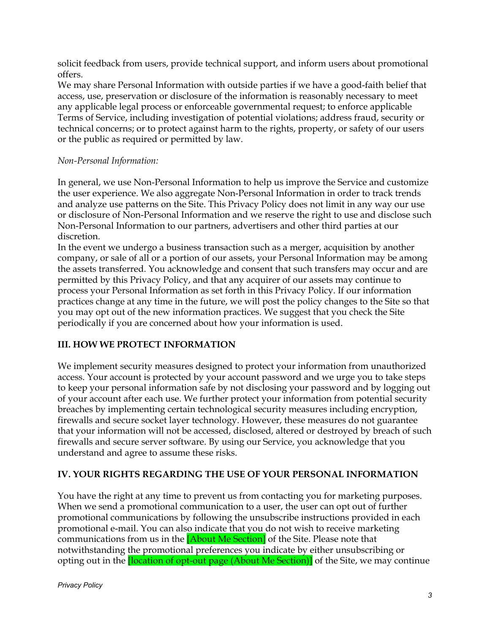solicit feedback from users, provide technical support, and inform users about promotional offers.

We may share Personal Information with outside parties if we have a good-faith belief that access, use, preservation or disclosure of the information is reasonably necessary to meet any applicable legal process or enforceable governmental request; to enforce applicable Terms of Service, including investigation of potential violations; address fraud, security or technical concerns; or to protect against harm to the rights, property, or safety of our users or the public as required or permitted by law.

#### *Non-Personal Information:*

In general, we use Non-Personal Information to help us improve the Service and customize the user experience. We also aggregate Non-Personal Information in order to track trends and analyze use patterns on the Site. This Privacy Policy does not limit in any way our use or disclosure of Non-Personal Information and we reserve the right to use and disclose such Non-Personal Information to our partners, advertisers and other third parties at our discretion.

In the event we undergo a business transaction such as a merger, acquisition by another company, or sale of all or a portion of our assets, your Personal Information may be among the assets transferred. You acknowledge and consent that such transfers may occur and are permitted by this Privacy Policy, and that any acquirer of our assets may continue to process your Personal Information as set forth in this Privacy Policy. If our information practices change at any time in the future, we will post the policy changes to the Site so that you may opt out of the new information practices. We suggest that you check the Site periodically if you are concerned about how your information is used.

#### **III. HOW WE PROTECT INFORMATION**

We implement security measures designed to protect your information from unauthorized access. Your account is protected by your account password and we urge you to take steps to keep your personal information safe by not disclosing your password and by logging out of your account after each use. We further protect your information from potential security breaches by implementing certain technological security measures including encryption, firewalls and secure socket layer technology. However, these measures do not guarantee that your information will not be accessed, disclosed, altered or destroyed by breach of such firewalls and secure server software. By using our Service, you acknowledge that you understand and agree to assume these risks.

#### **IV. YOUR RIGHTS REGARDING THE USE OF YOUR PERSONAL INFORMATION**

You have the right at any time to prevent us from contacting you for marketing purposes. When we send a promotional communication to a user, the user can opt out of further promotional communications by following the unsubscribe instructions provided in each promotional e-mail. You can also indicate that you do not wish to receive marketing communications from us in the **[About Me Section]** of the Site. Please note that notwithstanding the promotional preferences you indicate by either unsubscribing or opting out in the *[location of opt-out page (About Me Section)]* of the Site, we may continue